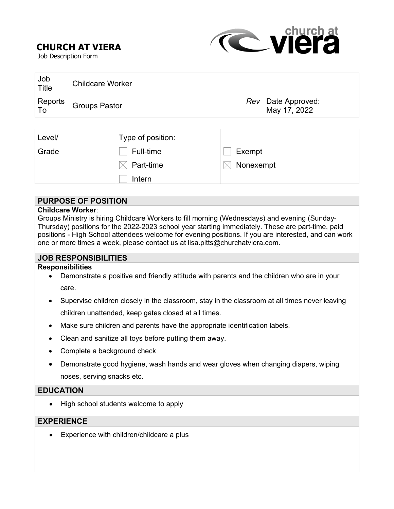# **CHURCH AT VIERA**



Job Description Form

| Job<br>Title    | <b>Childcare Worker</b> |                                    |
|-----------------|-------------------------|------------------------------------|
| Reports<br>  To | <b>Groups Pastor</b>    | Rev Date Approved:<br>May 17, 2022 |
|                 |                         |                                    |

| Level/ | Type of position: |           |
|--------|-------------------|-----------|
| Grade  | Full-time         | Exempt    |
|        | Part-time         | Nonexempt |
|        | Intern            |           |

### **PURPOSE OF POSITION**

#### **Childcare Worker**:

Groups Ministry is hiring Childcare Workers to fill morning (Wednesdays) and evening (Sunday-Thursday) positions for the 2022-2023 school year starting immediately. These are part-time, paid positions - High School attendees welcome for evening positions. If you are interested, and can work one or more times a week, please contact us at lisa.pitts@churchatviera.com.

### **JOB RESPONSIBILITIES**

#### **Responsibilities**

• Demonstrate a positive and friendly attitude with parents and the children who are in your care.

• Supervise children closely in the classroom, stay in the classroom at all times never leaving

children unattended, keep gates closed at all times.

- Make sure children and parents have the appropriate identification labels.
- Clean and sanitize all toys before putting them away.
- Complete a background check
- Demonstrate good hygiene, wash hands and wear gloves when changing diapers, wiping noses, serving snacks etc.

#### **EDUCATION**

• High school students welcome to apply

## **EXPERIENCE**

• Experience with children/childcare a plus